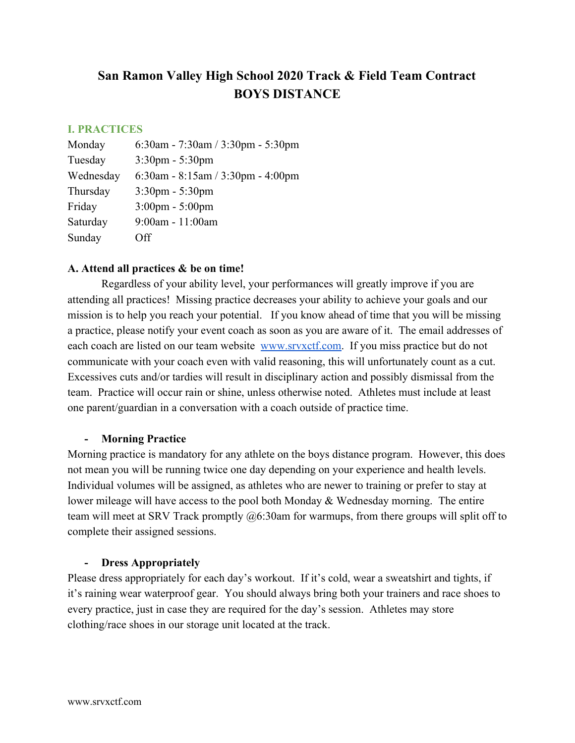# **San Ramon Valley High School 2020 Track & Field Team Contract BOYS DISTANCE**

## **I. PRACTICES**

| Monday    | 6:30am - 7:30am / 3:30pm - 5:30pm |
|-----------|-----------------------------------|
| Tuesday   | $3:30$ pm - $5:30$ pm             |
| Wednesday | 6:30am - 8:15am / 3:30pm - 4:00pm |
| Thursday  | $3:30 \text{pm} - 5:30 \text{pm}$ |
| Friday    | $3:00 \text{pm} - 5:00 \text{pm}$ |
| Saturday  | $9:00$ am - 11:00am               |
| Sunday    | Off                               |

# **A. Attend all practices & be on time!**

Regardless of your ability level, your performances will greatly improve if you are attending all practices! Missing practice decreases your ability to achieve your goals and our mission is to help you reach your potential. If you know ahead of time that you will be missing a practice, please notify your event coach as soon as you are aware of it. The email addresses of each coach are listed on our team website [www.srvxctf.com.](http://www.srvxctf.com/) If you miss practice but do not communicate with your coach even with valid reasoning, this will unfortunately count as a cut. Excessives cuts and/or tardies will result in disciplinary action and possibly dismissal from the team. Practice will occur rain or shine, unless otherwise noted. Athletes must include at least one parent/guardian in a conversation with a coach outside of practice time.

#### **- Morning Practice**

Morning practice is mandatory for any athlete on the boys distance program. However, this does not mean you will be running twice one day depending on your experience and health levels. Individual volumes will be assigned, as athletes who are newer to training or prefer to stay at lower mileage will have access to the pool both Monday & Wednesday morning. The entire team will meet at SRV Track promptly @6:30am for warmups, from there groups will split off to complete their assigned sessions.

#### **- Dress Appropriately**

Please dress appropriately for each day's workout. If it's cold, wear a sweatshirt and tights, if it's raining wear waterproof gear. You should always bring both your trainers and race shoes to every practice, just in case they are required for the day's session. Athletes may store clothing/race shoes in our storage unit located at the track.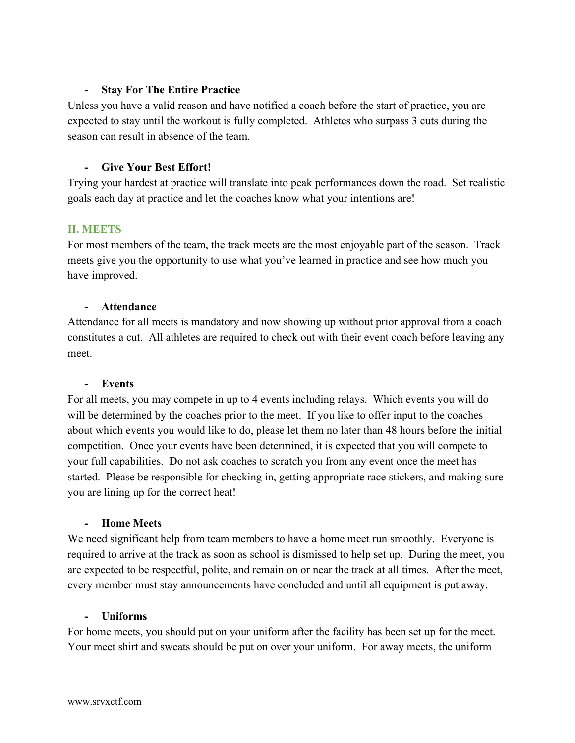## **- Stay For The Entire Practice**

Unless you have a valid reason and have notified a coach before the start of practice, you are expected to stay until the workout is fully completed. Athletes who surpass 3 cuts during the season can result in absence of the team.

## **- Give Your Best Effort!**

Trying your hardest at practice will translate into peak performances down the road. Set realistic goals each day at practice and let the coaches know what your intentions are!

## **II. MEETS**

For most members of the team, the track meets are the most enjoyable part of the season. Track meets give you the opportunity to use what you've learned in practice and see how much you have improved.

#### **- Attendance**

Attendance for all meets is mandatory and now showing up without prior approval from a coach constitutes a cut. All athletes are required to check out with their event coach before leaving any meet.

#### **- Events**

For all meets, you may compete in up to 4 events including relays. Which events you will do will be determined by the coaches prior to the meet. If you like to offer input to the coaches about which events you would like to do, please let them no later than 48 hours before the initial competition. Once your events have been determined, it is expected that you will compete to your full capabilities. Do not ask coaches to scratch you from any event once the meet has started. Please be responsible for checking in, getting appropriate race stickers, and making sure you are lining up for the correct heat!

#### **- Home Meets**

We need significant help from team members to have a home meet run smoothly. Everyone is required to arrive at the track as soon as school is dismissed to help set up. During the meet, you are expected to be respectful, polite, and remain on or near the track at all times. After the meet, every member must stay announcements have concluded and until all equipment is put away.

#### **- Uniforms**

For home meets, you should put on your uniform after the facility has been set up for the meet. Your meet shirt and sweats should be put on over your uniform. For away meets, the uniform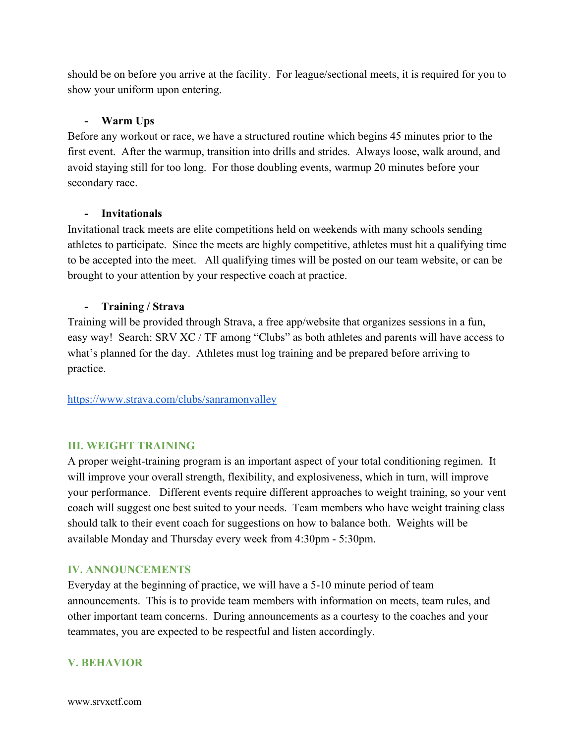should be on before you arrive at the facility. For league/sectional meets, it is required for you to show your uniform upon entering.

## **- Warm Ups**

Before any workout or race, we have a structured routine which begins 45 minutes prior to the first event. After the warmup, transition into drills and strides. Always loose, walk around, and avoid staying still for too long. For those doubling events, warmup 20 minutes before your secondary race.

#### **- Invitationals**

Invitational track meets are elite competitions held on weekends with many schools sending athletes to participate. Since the meets are highly competitive, athletes must hit a qualifying time to be accepted into the meet. All qualifying times will be posted on our team website, or can be brought to your attention by your respective coach at practice.

## **- Training / Strava**

Training will be provided through Strava, a free app/website that organizes sessions in a fun, easy way! Search: SRV XC / TF among "Clubs" as both athletes and parents will have access to what's planned for the day. Athletes must log training and be prepared before arriving to practice.

<https://www.strava.com/clubs/sanramonvalley>

# **III. WEIGHT TRAINING**

A proper weight-training program is an important aspect of your total conditioning regimen. It will improve your overall strength, flexibility, and explosiveness, which in turn, will improve your performance. Different events require different approaches to weight training, so your vent coach will suggest one best suited to your needs. Team members who have weight training class should talk to their event coach for suggestions on how to balance both. Weights will be available Monday and Thursday every week from 4:30pm - 5:30pm.

#### **IV. ANNOUNCEMENTS**

Everyday at the beginning of practice, we will have a 5-10 minute period of team announcements. This is to provide team members with information on meets, team rules, and other important team concerns. During announcements as a courtesy to the coaches and your teammates, you are expected to be respectful and listen accordingly.

# **V. BEHAVIOR**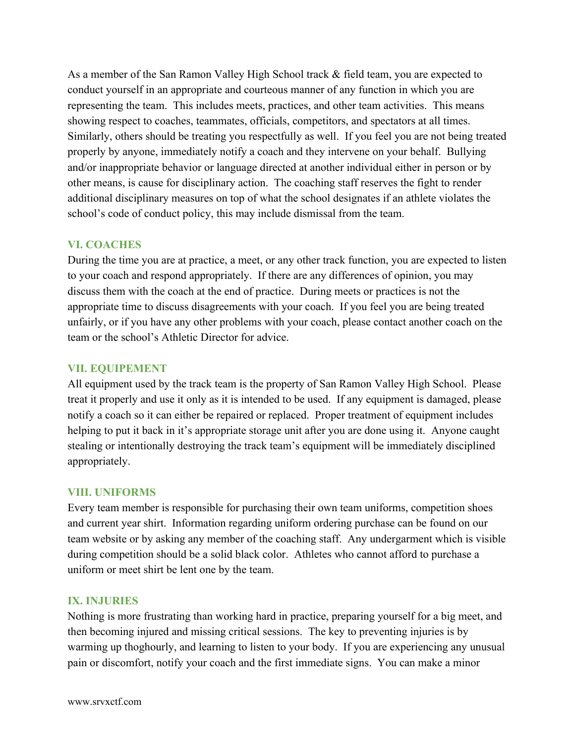As a member of the San Ramon Valley High School track & field team, you are expected to conduct yourself in an appropriate and courteous manner of any function in which you are representing the team. This includes meets, practices, and other team activities. This means showing respect to coaches, teammates, officials, competitors, and spectators at all times. Similarly, others should be treating you respectfully as well. If you feel you are not being treated properly by anyone, immediately notify a coach and they intervene on your behalf. Bullying and/or inappropriate behavior or language directed at another individual either in person or by other means, is cause for disciplinary action. The coaching staff reserves the fight to render additional disciplinary measures on top of what the school designates if an athlete violates the school's code of conduct policy, this may include dismissal from the team.

# **VI. COACHES**

During the time you are at practice, a meet, or any other track function, you are expected to listen to your coach and respond appropriately. If there are any differences of opinion, you may discuss them with the coach at the end of practice. During meets or practices is not the appropriate time to discuss disagreements with your coach. If you feel you are being treated unfairly, or if you have any other problems with your coach, please contact another coach on the team or the school's Athletic Director for advice.

#### **VII. EQUIPEMENT**

All equipment used by the track team is the property of San Ramon Valley High School. Please treat it properly and use it only as it is intended to be used. If any equipment is damaged, please notify a coach so it can either be repaired or replaced. Proper treatment of equipment includes helping to put it back in it's appropriate storage unit after you are done using it. Anyone caught stealing or intentionally destroying the track team's equipment will be immediately disciplined appropriately.

#### **VIII. UNIFORMS**

Every team member is responsible for purchasing their own team uniforms, competition shoes and current year shirt. Information regarding uniform ordering purchase can be found on our team website or by asking any member of the coaching staff. Any undergarment which is visible during competition should be a solid black color. Athletes who cannot afford to purchase a uniform or meet shirt be lent one by the team.

# **IX. INJURIES**

Nothing is more frustrating than working hard in practice, preparing yourself for a big meet, and then becoming injured and missing critical sessions. The key to preventing injuries is by warming up thoghourly, and learning to listen to your body. If you are experiencing any unusual pain or discomfort, notify your coach and the first immediate signs. You can make a minor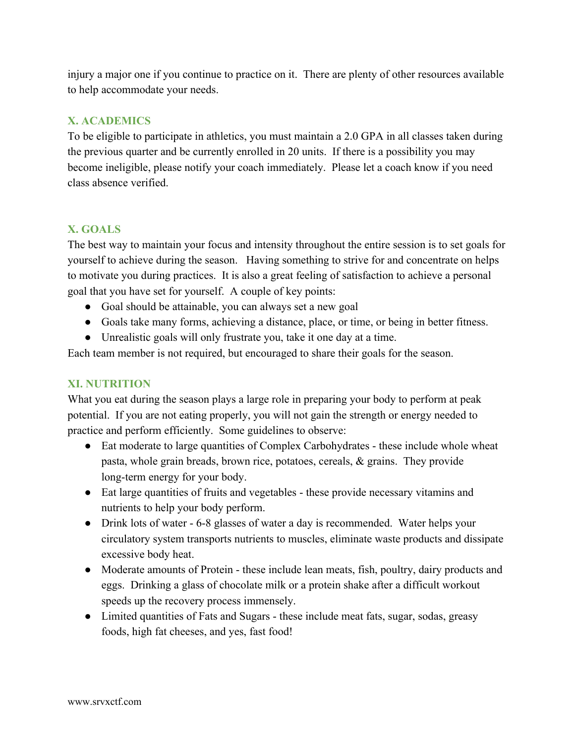injury a major one if you continue to practice on it. There are plenty of other resources available to help accommodate your needs.

# **X. ACADEMICS**

To be eligible to participate in athletics, you must maintain a 2.0 GPA in all classes taken during the previous quarter and be currently enrolled in 20 units. If there is a possibility you may become ineligible, please notify your coach immediately. Please let a coach know if you need class absence verified.

# **X. GOALS**

The best way to maintain your focus and intensity throughout the entire session is to set goals for yourself to achieve during the season. Having something to strive for and concentrate on helps to motivate you during practices. It is also a great feeling of satisfaction to achieve a personal goal that you have set for yourself. A couple of key points:

- Goal should be attainable, you can always set a new goal
- Goals take many forms, achieving a distance, place, or time, or being in better fitness.
- Unrealistic goals will only frustrate you, take it one day at a time.

Each team member is not required, but encouraged to share their goals for the season.

# **XI. NUTRITION**

What you eat during the season plays a large role in preparing your body to perform at peak potential. If you are not eating properly, you will not gain the strength or energy needed to practice and perform efficiently. Some guidelines to observe:

- Eat moderate to large quantities of Complex Carbohydrates these include whole wheat pasta, whole grain breads, brown rice, potatoes, cereals, & grains. They provide long-term energy for your body.
- Eat large quantities of fruits and vegetables these provide necessary vitamins and nutrients to help your body perform.
- Drink lots of water 6-8 glasses of water a day is recommended. Water helps your circulatory system transports nutrients to muscles, eliminate waste products and dissipate excessive body heat.
- Moderate amounts of Protein these include lean meats, fish, poultry, dairy products and eggs. Drinking a glass of chocolate milk or a protein shake after a difficult workout speeds up the recovery process immensely.
- Limited quantities of Fats and Sugars these include meat fats, sugar, sodas, greasy foods, high fat cheeses, and yes, fast food!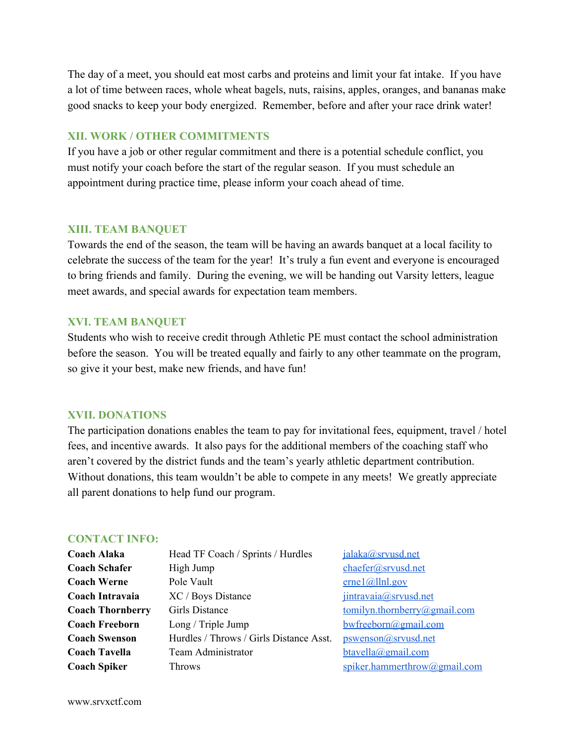The day of a meet, you should eat most carbs and proteins and limit your fat intake. If you have a lot of time between races, whole wheat bagels, nuts, raisins, apples, oranges, and bananas make good snacks to keep your body energized. Remember, before and after your race drink water!

## **XII. WORK / OTHER COMMITMENTS**

If you have a job or other regular commitment and there is a potential schedule conflict, you must notify your coach before the start of the regular season. If you must schedule an appointment during practice time, please inform your coach ahead of time.

#### **XIII. TEAM BANQUET**

Towards the end of the season, the team will be having an awards banquet at a local facility to celebrate the success of the team for the year! It's truly a fun event and everyone is encouraged to bring friends and family. During the evening, we will be handing out Varsity letters, league meet awards, and special awards for expectation team members.

#### **XVI. TEAM BANQUET**

Students who wish to receive credit through Athletic PE must contact the school administration before the season. You will be treated equally and fairly to any other teammate on the program, so give it your best, make new friends, and have fun!

# **XVII. DONATIONS**

The participation donations enables the team to pay for invitational fees, equipment, travel / hotel fees, and incentive awards. It also pays for the additional members of the coaching staff who aren't covered by the district funds and the team's yearly athletic department contribution. Without donations, this team wouldn't be able to compete in any meets! We greatly appreciate all parent donations to help fund our program.

## **CONTACT INFO:**

| <b>Coach Alaka</b>      | Head TF Coach / Sprints / Hurdles       | jalaka@srvusd.net            |
|-------------------------|-----------------------------------------|------------------------------|
| <b>Coach Schafer</b>    | High Jump                               | chaefer@srvusd.net           |
| <b>Coach Werne</b>      | Pole Vault                              | $erne1$ (a) llnl.gov         |
| Coach Intravaia         | XC / Boys Distance                      | jintravaia@srvusd.net        |
| <b>Coach Thornberry</b> | <b>Girls Distance</b>                   | tomilyn.thornberry@gmail.com |
| <b>Coach Freeborn</b>   | Long / Triple Jump                      | $bw$ freeborn@gmail.com      |
| <b>Coach Swenson</b>    | Hurdles / Throws / Girls Distance Asst. | pswenson@srvusd.net          |
| <b>Coach Tavella</b>    | Team Administrator                      | $b$ tavella@gmail.com        |
| <b>Coach Spiker</b>     | Throws                                  | spiker.hammerthrow@gmail.com |